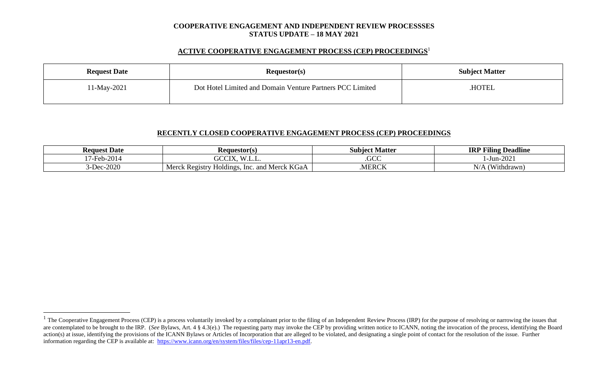#### **COOPERATIVE ENGAGEMENT AND INDEPENDENT REVIEW PROCESSSES STATUS UPDATE – 18 MAY 2021**

### **ACTIVE COOPERATIVE ENGAGEMENT PROCESS (CEP) PROCEEDINGS** 1

| <b>Request Date</b> | Requestor(s)                                              | <b>Subject Matter</b> |  |
|---------------------|-----------------------------------------------------------|-----------------------|--|
| 1-May-2021          | Dot Hotel Limited and Domain Venture Partners PCC Limited | HOTEL.                |  |

# **RECENTLY CLOSED COOPERATIVE ENGAGEMENT PROCESS (CEP) PROCEEDINGS**

| <b>Request Date</b>           | <b>Requestor(s)</b>                                                      | Subiect Matter | <b>P Filing Deadline</b><br>IRI |
|-------------------------------|--------------------------------------------------------------------------|----------------|---------------------------------|
| 7-Feb-2014<br>. .             | $\sqrt{M}$<br>$\gamma$ $\gamma$ $\gamma$ $\tau$ $\tau$<br>uuu<br>استانية | $\sim$<br>.ULL | $-Jun-2021$                     |
| $c - 2020$<br>$\mathsf{LDec}$ | KGaA<br>Merck<br>Holdings.<br>Merck<br>. Registry<br>and<br>Inc.         | .MERCK         | N/<br>Withdrawn)                |

 $1$  The Cooperative Engagement Process (CEP) is a process voluntarily invoked by a complainant prior to the filing of an Independent Review Process (IRP) for the purpose of resolving or narrowing the issues that are contemplated to be brought to the IRP. (*See* Bylaws, Art. 4 § 4.3(e).) The requesting party may invoke the CEP by providing written notice to ICANN, noting the invocation of the process, identifying the Board action(s) at issue, identifying the provisions of the ICANN Bylaws or Articles of Incorporation that are alleged to be violated, and designating a single point of contact for the resolution of the issue. Further information regarding the CEP is available at: [https://www.icann.org/en/system/files/files/cep-11apr13-en.pdf.](https://www.icann.org/en/system/files/files/cep-11apr13-en.pdf)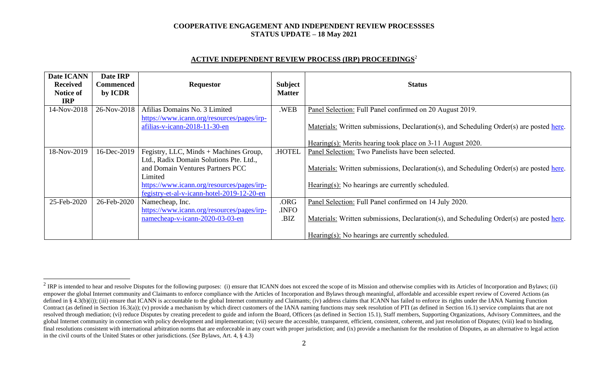### **COOPERATIVE ENGAGEMENT AND INDEPENDENT REVIEW PROCESSSES STATUS UPDATE – 18 May 2021**

# **ACTIVE INDEPENDENT REVIEW PROCESS (IRP) PROCEEDINGS** 2

| Date ICANN<br><b>Received</b><br>Notice of<br><b>IRP</b> | Date IRP<br>Commenced<br>by ICDR | <b>Requestor</b>                                                            | <b>Subject</b><br><b>Matter</b> | <b>Status</b>                                                                            |
|----------------------------------------------------------|----------------------------------|-----------------------------------------------------------------------------|---------------------------------|------------------------------------------------------------------------------------------|
| 14-Nov-2018                                              | 26-Nov-2018                      | Afilias Domains No. 3 Limited<br>https://www.icann.org/resources/pages/irp- | .WEB                            | Panel Selection: Full Panel confirmed on 20 August 2019.                                 |
|                                                          |                                  | afilias-v-icann-2018-11-30-en                                               |                                 | Materials: Written submissions, Declaration(s), and Scheduling Order(s) are posted here. |
|                                                          |                                  |                                                                             |                                 | Hearing(s): Merits hearing took place on 3-11 August 2020.                               |
| 18-Nov-2019                                              | 16-Dec-2019                      | Fegistry, LLC, Minds + Machines Group,                                      | <b>HOTEL</b>                    | Panel Selection: Two Panelists have been selected.                                       |
|                                                          |                                  | Ltd., Radix Domain Solutions Pte. Ltd.,                                     |                                 |                                                                                          |
|                                                          |                                  | and Domain Ventures Partners PCC                                            |                                 | Materials: Written submissions, Declaration(s), and Scheduling Order(s) are posted here. |
|                                                          |                                  | Limited                                                                     |                                 |                                                                                          |
|                                                          |                                  | https://www.icann.org/resources/pages/irp-                                  |                                 | $Hearing(s)$ : No hearings are currently scheduled.                                      |
|                                                          |                                  | fegistry-et-al-v-icann-hotel-2019-12-20-en                                  |                                 |                                                                                          |
| 25-Feb-2020                                              | 26-Feb-2020                      | Namecheap, Inc.                                                             | .ORG                            | Panel Selection: Full Panel confirmed on 14 July 2020.                                   |
|                                                          |                                  | https://www.icann.org/resources/pages/irp-                                  | .INFO                           |                                                                                          |
|                                                          |                                  | namecheap-v-icann-2020-03-03-en                                             | .BIZ                            | Materials: Written submissions, Declaration(s), and Scheduling Order(s) are posted here. |
|                                                          |                                  |                                                                             |                                 | Hearing(s): No hearings are currently scheduled.                                         |

<sup>&</sup>lt;sup>2</sup> IRP is intended to hear and resolve Disputes for the following purposes: (i) ensure that ICANN does not exceed the scope of its Mission and otherwise complies with its Articles of Incorporation and Bylaws; (ii) empower the global Internet community and Claimants to enforce compliance with the Articles of Incorporation and Bylaws through meaningful, affordable and accessible expert review of Covered Actions (as defined in § 4.3(b)(i)); (iii) ensure that ICANN is accountable to the global Internet community and Claimants; (iv) address claims that ICANN has failed to enforce its rights under the IANA Naming Function Contract (as defined in Section 16.3(a)); (v) provide a mechanism by which direct customers of the IANA naming functions may seek resolution of PTI (as defined in Section 16.1) service complaints that are not resolved through mediation; (vi) reduce Disputes by creating precedent to guide and inform the Board, Officers (as defined in Section 15.1), Staff members, Supporting Organizations, Advisory Committees, and the global Internet community in connection with policy development and implementation; (vii) secure the accessible, transparent, efficient, consistent, coherent, and just resolution of Disputes; (viii) lead to binding, final resolutions consistent with international arbitration norms that are enforceable in any court with proper jurisdiction; and (ix) provide a mechanism for the resolution of Disputes, as an alternative to legal action in the civil courts of the United States or other jurisdictions. (*See* Bylaws, Art. 4, § 4.3)